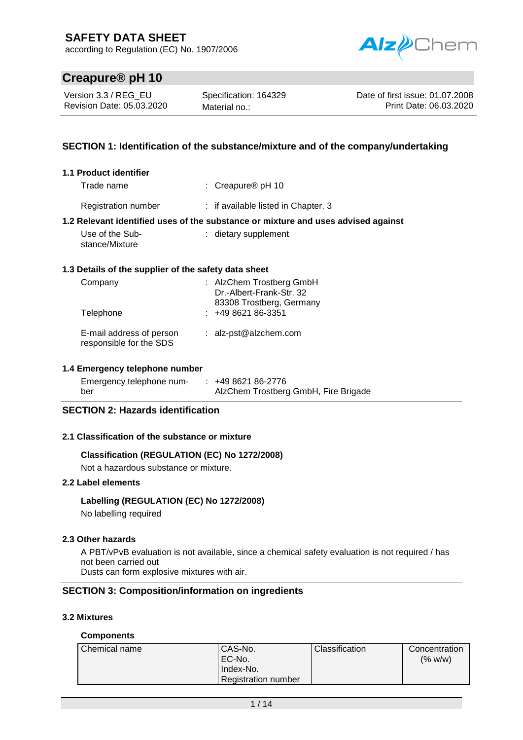according to Regulation (EC) No. 1907/2006



# **Creapure® pH 10**

Version 3.3 / REG\_EU Revision Date: 05.03.2020

Specification: 164329 Material no.:

Date of first issue: 01.07.2008 Print Date: 06.03.2020

## **SECTION 1: Identification of the substance/mixture and of the company/undertaking**

| 1.1 Product identifier                               |                                                                                   |
|------------------------------------------------------|-----------------------------------------------------------------------------------|
| Trade name                                           | : Creapure <sup>®</sup> $pH$ 10                                                   |
| <b>Registration number</b>                           | : if available listed in Chapter. 3                                               |
|                                                      | 1.2 Relevant identified uses of the substance or mixture and uses advised against |
| Use of the Sub-<br>stance/Mixture                    | : dietary supplement                                                              |
| 1.3 Details of the supplier of the safety data sheet |                                                                                   |
| Company                                              | : AlzChem Trostberg GmbH<br>Dr.-Albert-Frank-Str. 32<br>83308 Trostberg, Germany  |
| Telephone                                            | $: 49862186-3351$                                                                 |
| E-mail address of person<br>responsible for the SDS  | : $alz-pst@alzchem.com$                                                           |

### **1.4 Emergency telephone number**

| Emergency telephone num- | $: 49862186-2776$                    |
|--------------------------|--------------------------------------|
| ber                      | AlzChem Trostberg GmbH, Fire Brigade |

## **SECTION 2: Hazards identification**

#### **2.1 Classification of the substance or mixture**

### **Classification (REGULATION (EC) No 1272/2008)**

Not a hazardous substance or mixture.

## **2.2 Label elements**

#### **Labelling (REGULATION (EC) No 1272/2008)**

No labelling required

#### **2.3 Other hazards**

A PBT/vPvB evaluation is not available, since a chemical safety evaluation is not required / has not been carried out

Dusts can form explosive mixtures with air.

## **SECTION 3: Composition/information on ingredients**

## **3.2 Mixtures**

#### **Components**

| Chemical name | CAS-No.<br>EC-No.<br>Index-No. | <b>Classification</b> | Concentration<br>(% w/w) |
|---------------|--------------------------------|-----------------------|--------------------------|
|               | <b>Registration number</b>     |                       |                          |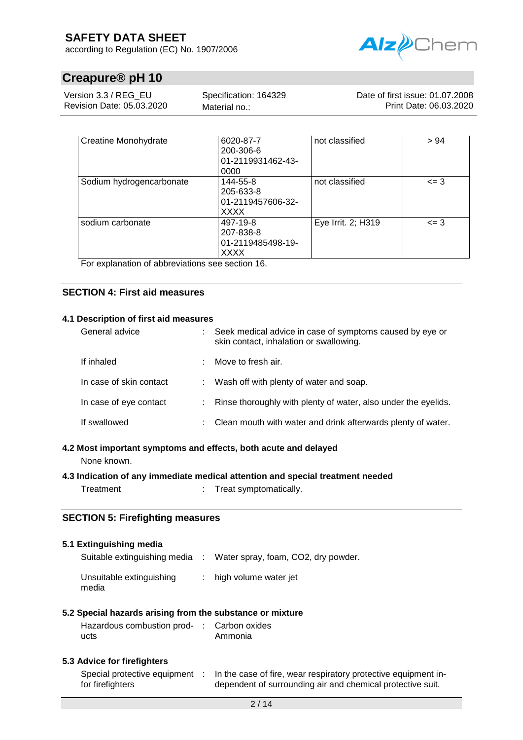according to Regulation (EC) No. 1907/2006



# **Creapure® pH 10**

| Version 3.3 / REG EU      | Specification: 164329 | Date of first issue: 01.07.2008 |
|---------------------------|-----------------------|---------------------------------|
| Revision Date: 05.03.2020 | Material no.:         | Print Date: 06.03.2020          |

| <b>Creatine Monohydrate</b> | 6020-87-7<br>200-306-6<br>01-2119931462-43-<br>0000       | not classified     | > 94     |
|-----------------------------|-----------------------------------------------------------|--------------------|----------|
| Sodium hydrogencarbonate    | 144-55-8<br>205-633-8<br>01-2119457606-32-<br><b>XXXX</b> | not classified     | $=$ 3    |
| sodium carbonate            | 497-19-8<br>207-838-8<br>01-2119485498-19-<br><b>XXXX</b> | Eye Irrit. 2; H319 | $\leq$ 3 |

For explanation of abbreviations see section 16.

## **SECTION 4: First aid measures**

#### **4.1 Description of first aid measures**

| General advice          |    | : Seek medical advice in case of symptoms caused by eye or<br>skin contact, inhalation or swallowing. |
|-------------------------|----|-------------------------------------------------------------------------------------------------------|
| If inhaled              | ÷. | Move to fresh air.                                                                                    |
| In case of skin contact |    | : Wash off with plenty of water and soap.                                                             |
| In case of eye contact  |    | : Rinse thoroughly with plenty of water, also under the eyelids.                                      |
| If swallowed            |    | : Clean mouth with water and drink afterwards plenty of water.                                        |

# **4.2 Most important symptoms and effects, both acute and delayed**

None known.

## **4.3 Indication of any immediate medical attention and special treatment needed**

Treatment : Treat symptomatically.

### **SECTION 5: Firefighting measures**

#### **5.1 Extinguishing media**

| Suitable extinguishing media :    | Water spray, foam, CO2, dry powder. |
|-----------------------------------|-------------------------------------|
| Unsuitable extinguishing<br>media | $:$ high volume water jet           |

### **5.2 Special hazards arising from the substance or mixture**

| Hazardous combustion prod- : Carbon oxides |         |
|--------------------------------------------|---------|
| ucts                                       | Ammonia |

### **5.3 Advice for firefighters**

| Special protective equipment | In the case of fire, wear respiratory protective equipment in- |
|------------------------------|----------------------------------------------------------------|
| for firefighters             | dependent of surrounding air and chemical protective suit.     |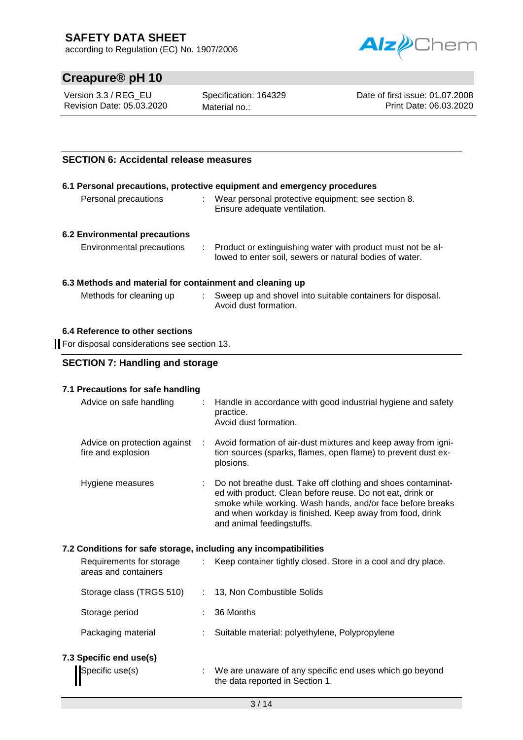according to Regulation (EC) No. 1907/2006



# **Creapure® pH 10**

Version 3.3 / REG\_EU Revision Date: 05.03.2020 Specification: 164329 Material no.:

Date of first issue: 01.07.2008 Print Date: 06.03.2020

## **SECTION 6: Accidental release measures**

|                                                                   | 6.1 Personal precautions, protective equipment and emergency procedures                                                  |
|-------------------------------------------------------------------|--------------------------------------------------------------------------------------------------------------------------|
| Personal precautions                                              | : Wear personal protective equipment; see section 8.<br>Ensure adequate ventilation.                                     |
| <b>6.2 Environmental precautions</b><br>Environmental precautions | : Product or extinguishing water with product must not be al-<br>lowed to enter soil, sewers or natural bodies of water. |
| 6.3 Methods and material for containment and cleaning up          |                                                                                                                          |
| Methods for cleaning up                                           | Sweep up and shovel into suitable containers for disposal.                                                               |

Avoid dust formation.

# **6.4 Reference to other sections**

For disposal considerations see section 13.

## **SECTION 7: Handling and storage**

#### **7.1 Precautions for safe handling**

| Advice on safe handling                            |   | : Handle in accordance with good industrial hygiene and safety<br>practice.<br>Avoid dust formation.                                                                                                                                                                             |
|----------------------------------------------------|---|----------------------------------------------------------------------------------------------------------------------------------------------------------------------------------------------------------------------------------------------------------------------------------|
| Advice on protection against<br>fire and explosion | ÷ | Avoid formation of air-dust mixtures and keep away from igni-<br>tion sources (sparks, flames, open flame) to prevent dust ex-<br>plosions.                                                                                                                                      |
| Hygiene measures                                   |   | Do not breathe dust. Take off clothing and shoes contaminat-<br>ed with product. Clean before reuse. Do not eat, drink or<br>smoke while working. Wash hands, and/or face before breaks<br>and when workday is finished. Keep away from food, drink<br>and animal feedingstuffs. |

### **7.2 Conditions for safe storage, including any incompatibilities**

| Requirements for storage<br>areas and containers | Keep container tightly closed. Store in a cool and dry place.                              |  |
|--------------------------------------------------|--------------------------------------------------------------------------------------------|--|
| Storage class (TRGS 510)                         | 13, Non Combustible Solids                                                                 |  |
| Storage period                                   | 36 Months                                                                                  |  |
| Packaging material                               | Suitable material: polyethylene, Polypropylene                                             |  |
| 7.3 Specific end use(s)                          |                                                                                            |  |
| Specific use(s)                                  | We are unaware of any specific end uses which go beyond<br>the data reported in Section 1. |  |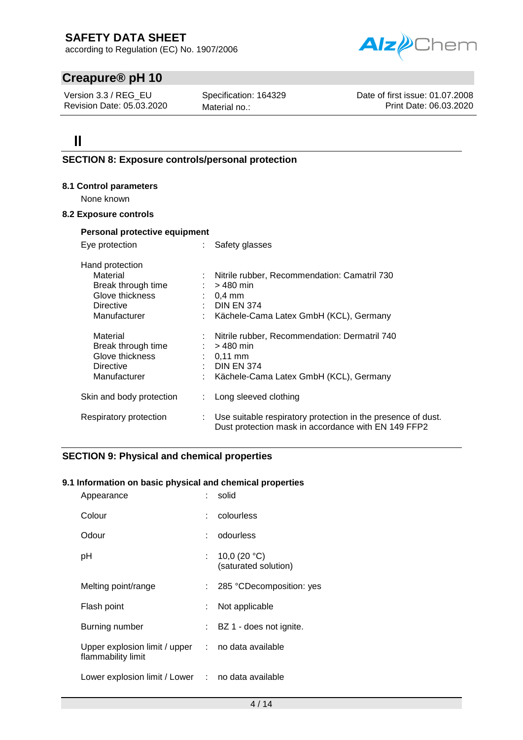according to Regulation (EC) No. 1907/2006



# **Creapure® pH 10**

Version 3.3 / REG\_EU Revision Date: 05.03.2020 Specification: 164329 Material no.:

Date of first issue: 01.07.2008 Print Date: 06.03.2020

# $\mathbf{I}$

## **SECTION 8: Exposure controls/personal protection**

#### **8.1 Control parameters**

None known

#### **8.2 Exposure controls**

| Personal protective equipment                                                                            |    |                                                                                                                                                               |
|----------------------------------------------------------------------------------------------------------|----|---------------------------------------------------------------------------------------------------------------------------------------------------------------|
| Eye protection                                                                                           |    | : Safety glasses                                                                                                                                              |
| Hand protection<br>Material<br>Break through time<br>Glove thickness<br><b>Directive</b><br>Manufacturer |    | : Nitrile rubber, Recommendation: Camatril 730<br>$:$ > 480 min<br>$\therefore$ 0.4 mm<br>$\therefore$ DIN EN 374<br>: Kächele-Cama Latex GmbH (KCL), Germany |
| Material<br>Break through time<br>Glove thickness<br>Directive<br>Manufacturer                           | ÷. | : Nitrile rubber, Recommendation: Dermatril 740<br>$: 9480$ min<br>$: 0.11$ mm<br>$\therefore$ DIN EN 374<br>Kächele-Cama Latex GmbH (KCL), Germany           |
| Skin and body protection                                                                                 | t. | Long sleeved clothing                                                                                                                                         |
| Respiratory protection                                                                                   | ÷. | Use suitable respiratory protection in the presence of dust.<br>Dust protection mask in accordance with EN 149 FFP2                                           |

## **SECTION 9: Physical and chemical properties**

### **9.1 Information on basic physical and chemical properties**

| Appearance                                                                         |    | solid                                |
|------------------------------------------------------------------------------------|----|--------------------------------------|
| Colour                                                                             |    | colourless                           |
| Odour                                                                              |    | odourless                            |
| рH                                                                                 |    | 10,0 (20 °C)<br>(saturated solution) |
| Melting point/range                                                                |    | 285 °CDecomposition: yes             |
| Flash point                                                                        |    | Not applicable                       |
| Burning number                                                                     | t. | BZ 1 - does not ignite.              |
| Upper explosion limit / upper $\therefore$ no data available<br>flammability limit |    |                                      |
| Lower explosion limit / Lower : no data available                                  |    |                                      |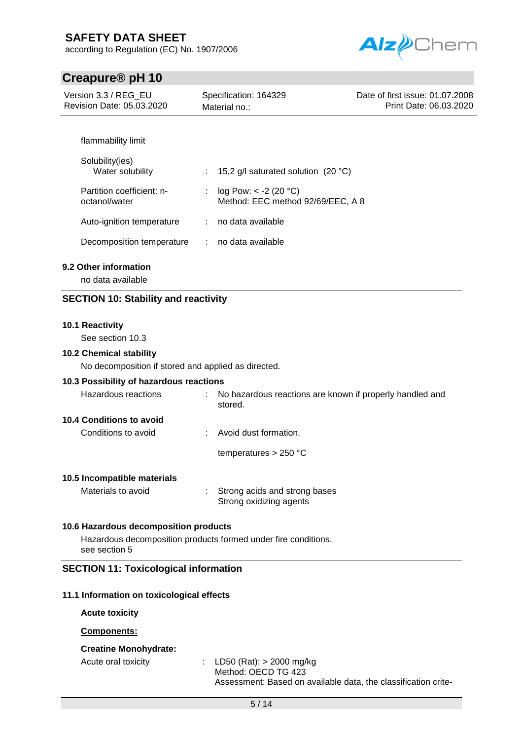according to Regulation (EC) No. 1907/2006



# **Creapure® pH 10**

| <b>U</b> reapure® p⊓ Tu                             |                                                                     |                                                           |
|-----------------------------------------------------|---------------------------------------------------------------------|-----------------------------------------------------------|
| Version 3.3 / REG_EU<br>Revision Date: 05.03.2020   | Specification: 164329<br>Material no.:                              | Date of first issue: 01.07.2008<br>Print Date: 06.03.2020 |
|                                                     |                                                                     |                                                           |
| flammability limit                                  |                                                                     |                                                           |
| Solubility(ies)<br>Water solubility                 | 15,2 g/l saturated solution (20 °C)                                 |                                                           |
| Partition coefficient: n-<br>octanol/water          | log Pow: $< -2$ (20 °C)<br>÷<br>Method: EEC method 92/69/EEC, A 8   |                                                           |
| Auto-ignition temperature                           | no data available<br>÷                                              |                                                           |
| Decomposition temperature                           | no data available<br>÷                                              |                                                           |
| 9.2 Other information<br>no data available          |                                                                     |                                                           |
| <b>SECTION 10: Stability and reactivity</b>         |                                                                     |                                                           |
|                                                     |                                                                     |                                                           |
| 10.1 Reactivity<br>See section 10.3                 |                                                                     |                                                           |
| <b>10.2 Chemical stability</b>                      |                                                                     |                                                           |
| No decomposition if stored and applied as directed. |                                                                     |                                                           |
| 10.3 Possibility of hazardous reactions             |                                                                     |                                                           |
| <b>Hazardous reactions</b>                          | No hazardous reactions are known if properly handled and<br>stored. |                                                           |
| <b>10.4 Conditions to avoid</b>                     |                                                                     |                                                           |
| Conditions to avoid                                 | Avoid dust formation.                                               |                                                           |
|                                                     | temperatures $> 250$ °C                                             |                                                           |
| 10.5 Incompatible materials                         |                                                                     |                                                           |
| Materials to avoid                                  | Strong acids and strong bases<br>Strong oxidizing agents            |                                                           |
| 10.6 Hazardous decomposition products               |                                                                     |                                                           |
| see section 5                                       | Hazardous decomposition products formed under fire conditions.      |                                                           |

## **SECTION 11: Toxicological information**

#### **11.1 Information on toxicological effects**

**Acute toxicity**

**Components:**

### **Creatine Monohydrate:**

Acute oral toxicity : LD50 (Rat): > 2000 mg/kg Method: OECD TG 423 Assessment: Based on available data, the classification crite-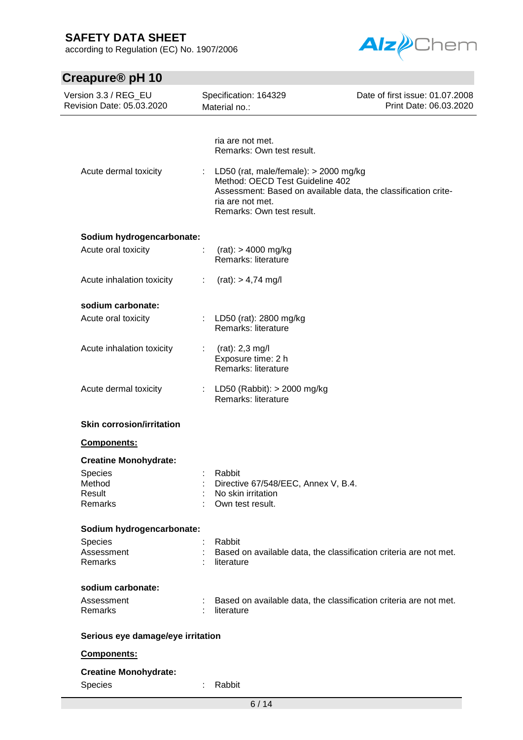according to Regulation (EC) No. 1907/2006



| Creapure <sup>®</sup> pH 10                       |                                                                                                                                                                                                                                              |                                                           |
|---------------------------------------------------|----------------------------------------------------------------------------------------------------------------------------------------------------------------------------------------------------------------------------------------------|-----------------------------------------------------------|
| Version 3.3 / REG_EU<br>Revision Date: 05.03.2020 | Specification: 164329<br>Material no.:                                                                                                                                                                                                       | Date of first issue: 01.07.2008<br>Print Date: 06.03.2020 |
| Acute dermal toxicity                             | ria are not met.<br>Remarks: Own test result.<br>LD50 (rat, male/female): > 2000 mg/kg<br>Method: OECD Test Guideline 402<br>Assessment: Based on available data, the classification crite-<br>ria are not met.<br>Remarks: Own test result. |                                                           |
|                                                   |                                                                                                                                                                                                                                              |                                                           |
| Sodium hydrogencarbonate:<br>Acute oral toxicity  | ÷<br>$(rat):$ > 4000 mg/kg<br>Remarks: literature                                                                                                                                                                                            |                                                           |
| Acute inhalation toxicity                         | $(rat):$ > 4,74 mg/l<br>÷                                                                                                                                                                                                                    |                                                           |
| sodium carbonate:                                 |                                                                                                                                                                                                                                              |                                                           |
| Acute oral toxicity                               | LD50 (rat): 2800 mg/kg<br>÷.<br>Remarks: literature                                                                                                                                                                                          |                                                           |
| Acute inhalation toxicity                         | $(rat): 2,3 \, mg/l$<br>$\mathcal{L}^{\mathcal{L}}$<br>Exposure time: 2 h<br>Remarks: literature                                                                                                                                             |                                                           |
| Acute dermal toxicity                             | LD50 (Rabbit): $>$ 2000 mg/kg<br>t.<br>Remarks: literature                                                                                                                                                                                   |                                                           |
| <b>Skin corrosion/irritation</b>                  |                                                                                                                                                                                                                                              |                                                           |
| <b>Components:</b>                                |                                                                                                                                                                                                                                              |                                                           |
| <b>Creatine Monohydrate:</b>                      |                                                                                                                                                                                                                                              |                                                           |
| <b>Species</b>                                    | Rabbit                                                                                                                                                                                                                                       |                                                           |
| Method<br>Result                                  | Directive 67/548/EEC, Annex V, B.4.<br>No skin irritation                                                                                                                                                                                    |                                                           |
| Remarks                                           | Own test result.                                                                                                                                                                                                                             |                                                           |
| Sodium hydrogencarbonate:                         |                                                                                                                                                                                                                                              |                                                           |
| Species                                           | Rabbit                                                                                                                                                                                                                                       |                                                           |
| Assessment<br>Remarks                             | Based on available data, the classification criteria are not met.<br>literature                                                                                                                                                              |                                                           |
| sodium carbonate:                                 |                                                                                                                                                                                                                                              |                                                           |
| Assessment<br>Remarks                             | Based on available data, the classification criteria are not met.<br>literature                                                                                                                                                              |                                                           |
| Serious eye damage/eye irritation                 |                                                                                                                                                                                                                                              |                                                           |
| Components:                                       |                                                                                                                                                                                                                                              |                                                           |
| <b>Creatine Monohydrate:</b>                      |                                                                                                                                                                                                                                              |                                                           |
| Species                                           | Rabbit                                                                                                                                                                                                                                       |                                                           |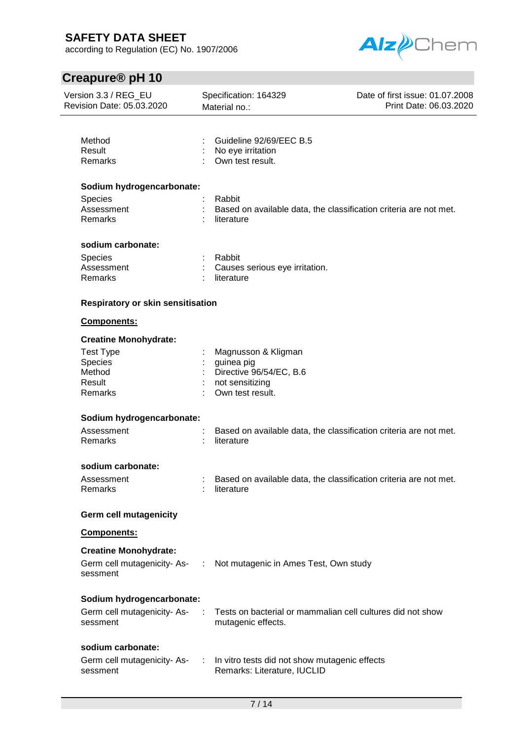according to Regulation (EC) No. 1907/2006



| Version 3.3 / REG_EU<br>Revision Date: 05.03.2020                                                              | Specification: 164329<br>Material no.:                                                              | Date of first issue: 01.07.2008<br>Print Date: 06.03.2020         |
|----------------------------------------------------------------------------------------------------------------|-----------------------------------------------------------------------------------------------------|-------------------------------------------------------------------|
| Method<br>Result<br>Remarks                                                                                    | Guideline 92/69/EEC B.5<br>No eye irritation<br>Own test result.                                    |                                                                   |
| Sodium hydrogencarbonate:                                                                                      |                                                                                                     |                                                                   |
| <b>Species</b><br>Assessment<br>Remarks                                                                        | Rabbit<br>literature                                                                                | Based on available data, the classification criteria are not met. |
| sodium carbonate:                                                                                              |                                                                                                     |                                                                   |
| Species<br>Assessment<br>Remarks                                                                               | Rabbit<br>Causes serious eye irritation.<br>literature                                              |                                                                   |
| Respiratory or skin sensitisation                                                                              |                                                                                                     |                                                                   |
| Components:                                                                                                    |                                                                                                     |                                                                   |
| <b>Creatine Monohydrate:</b>                                                                                   |                                                                                                     |                                                                   |
| <b>Test Type</b><br>Species<br>Method<br>Result<br>Remarks                                                     | Magnusson & Kligman<br>guinea pig<br>Directive 96/54/EC, B.6<br>not sensitizing<br>Own test result. |                                                                   |
| Sodium hydrogencarbonate:                                                                                      |                                                                                                     |                                                                   |
| Assessment<br>Remarks                                                                                          | literature                                                                                          | Based on available data, the classification criteria are not met. |
| sodium carbonate:                                                                                              |                                                                                                     |                                                                   |
| Assessment<br>Remarks                                                                                          | literature                                                                                          | Based on available data, the classification criteria are not met. |
| <b>Germ cell mutagenicity</b>                                                                                  |                                                                                                     |                                                                   |
| Components:                                                                                                    |                                                                                                     |                                                                   |
| <b>Creatine Monohydrate:</b><br>Germ cell mutagenicity-As- : Not mutagenic in Ames Test, Own study<br>sessment |                                                                                                     |                                                                   |
| Sodium hydrogencarbonate:                                                                                      |                                                                                                     |                                                                   |
| Germ cell mutagenicity-As-<br>sessment                                                                         | mutagenic effects.                                                                                  | Tests on bacterial or mammalian cell cultures did not show        |
| sodium carbonate:                                                                                              |                                                                                                     |                                                                   |
| Germ cell mutagenicity-As-<br>sessment                                                                         | In vitro tests did not show mutagenic effects<br>Remarks: Literature, IUCLID                        |                                                                   |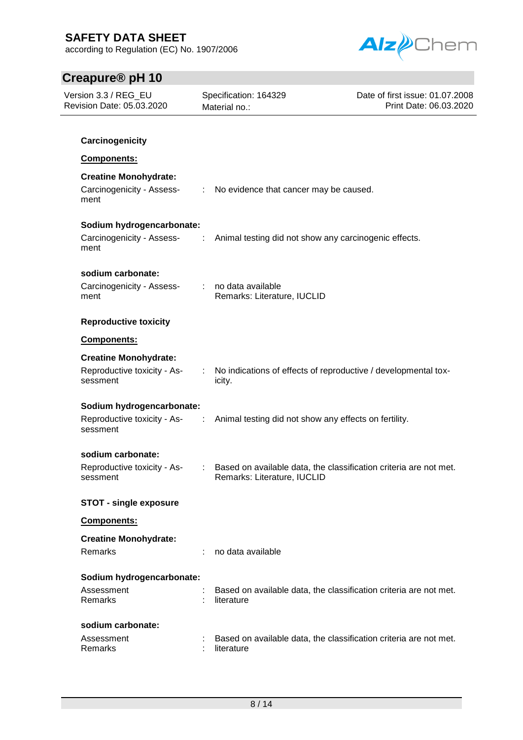according to Regulation (EC) No. 1907/2006



| Version 3.3 / REG_EU<br>Revision Date: 05.03.2020                 |                            | Specification: 164329<br>Material no.:                                                           | Date of first issue: 01.07.2008<br>Print Date: 06.03.2020 |
|-------------------------------------------------------------------|----------------------------|--------------------------------------------------------------------------------------------------|-----------------------------------------------------------|
| Carcinogenicity                                                   |                            |                                                                                                  |                                                           |
| Components:                                                       |                            |                                                                                                  |                                                           |
|                                                                   |                            |                                                                                                  |                                                           |
| <b>Creatine Monohydrate:</b><br>Carcinogenicity - Assess-<br>ment |                            | : No evidence that cancer may be caused.                                                         |                                                           |
| Sodium hydrogencarbonate:                                         |                            |                                                                                                  |                                                           |
| Carcinogenicity - Assess-<br>ment                                 | $\sim 10^{11}$             | Animal testing did not show any carcinogenic effects.                                            |                                                           |
| sodium carbonate:                                                 |                            |                                                                                                  |                                                           |
| Carcinogenicity - Assess-<br>ment                                 | $\mathcal{L}^{\text{max}}$ | no data available<br>Remarks: Literature, IUCLID                                                 |                                                           |
| <b>Reproductive toxicity</b>                                      |                            |                                                                                                  |                                                           |
| Components:                                                       |                            |                                                                                                  |                                                           |
| <b>Creatine Monohydrate:</b>                                      |                            |                                                                                                  |                                                           |
| Reproductive toxicity - As-<br>sessment                           |                            | : No indications of effects of reproductive / developmental tox-<br>icity.                       |                                                           |
| Sodium hydrogencarbonate:                                         |                            |                                                                                                  |                                                           |
| Reproductive toxicity - As-<br>sessment                           | ÷                          | Animal testing did not show any effects on fertility.                                            |                                                           |
| sodium carbonate:                                                 |                            |                                                                                                  |                                                           |
| Reproductive toxicity - As-<br>sessment                           | ÷.                         | Based on available data, the classification criteria are not met.<br>Remarks: Literature, IUCLID |                                                           |
| <b>STOT - single exposure</b>                                     |                            |                                                                                                  |                                                           |
| Components:                                                       |                            |                                                                                                  |                                                           |
| <b>Creatine Monohydrate:</b>                                      |                            |                                                                                                  |                                                           |
| Remarks                                                           |                            | no data available                                                                                |                                                           |
| Sodium hydrogencarbonate:                                         |                            |                                                                                                  |                                                           |
| Assessment<br>Remarks                                             |                            | Based on available data, the classification criteria are not met.<br>literature                  |                                                           |
| sodium carbonate:                                                 |                            |                                                                                                  |                                                           |
| Assessment<br>Remarks                                             |                            | Based on available data, the classification criteria are not met.<br>literature                  |                                                           |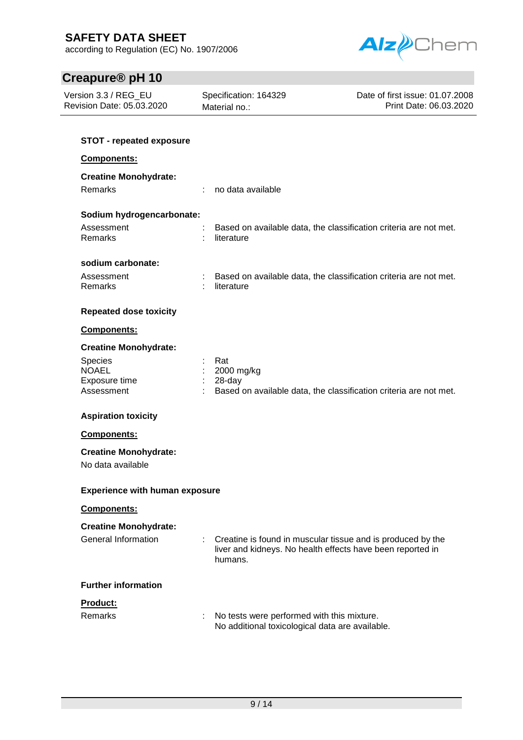according to Regulation (EC) No. 1907/2006



| Version 3.3 / REG_EU<br>Revision Date: 05.03.2020 | Specification: 164329<br>Material no.:                                                                                               | Date of first issue: 01.07.2008<br>Print Date: 06.03.2020 |
|---------------------------------------------------|--------------------------------------------------------------------------------------------------------------------------------------|-----------------------------------------------------------|
| <b>STOT - repeated exposure</b>                   |                                                                                                                                      |                                                           |
| Components:                                       |                                                                                                                                      |                                                           |
| <b>Creatine Monohydrate:</b>                      |                                                                                                                                      |                                                           |
| <b>Remarks</b>                                    | no data available                                                                                                                    |                                                           |
| Sodium hydrogencarbonate:                         |                                                                                                                                      |                                                           |
| Assessment<br>Remarks                             | Based on available data, the classification criteria are not met.<br>literature                                                      |                                                           |
| sodium carbonate:                                 |                                                                                                                                      |                                                           |
| Assessment<br>Remarks                             | Based on available data, the classification criteria are not met.<br>literature                                                      |                                                           |
| <b>Repeated dose toxicity</b>                     |                                                                                                                                      |                                                           |
| Components:                                       |                                                                                                                                      |                                                           |
| <b>Creatine Monohydrate:</b>                      |                                                                                                                                      |                                                           |
| Species<br><b>NOAEL</b>                           | Rat<br>2000 mg/kg                                                                                                                    |                                                           |
| Exposure time<br>Assessment                       | 28-day<br>Based on available data, the classification criteria are not met.                                                          |                                                           |
| <b>Aspiration toxicity</b>                        |                                                                                                                                      |                                                           |
| Components:                                       |                                                                                                                                      |                                                           |
| <b>Creatine Monohydrate:</b>                      |                                                                                                                                      |                                                           |
| No data available                                 |                                                                                                                                      |                                                           |
| <b>Experience with human exposure</b>             |                                                                                                                                      |                                                           |
| Components:                                       |                                                                                                                                      |                                                           |
| <b>Creatine Monohydrate:</b>                      |                                                                                                                                      |                                                           |
| <b>General Information</b>                        | Creatine is found in muscular tissue and is produced by the<br>liver and kidneys. No health effects have been reported in<br>humans. |                                                           |
| <b>Further information</b>                        |                                                                                                                                      |                                                           |
| Product:                                          |                                                                                                                                      |                                                           |
| Remarks                                           | No tests were performed with this mixture.<br>t<br>No additional toxicological data are available.                                   |                                                           |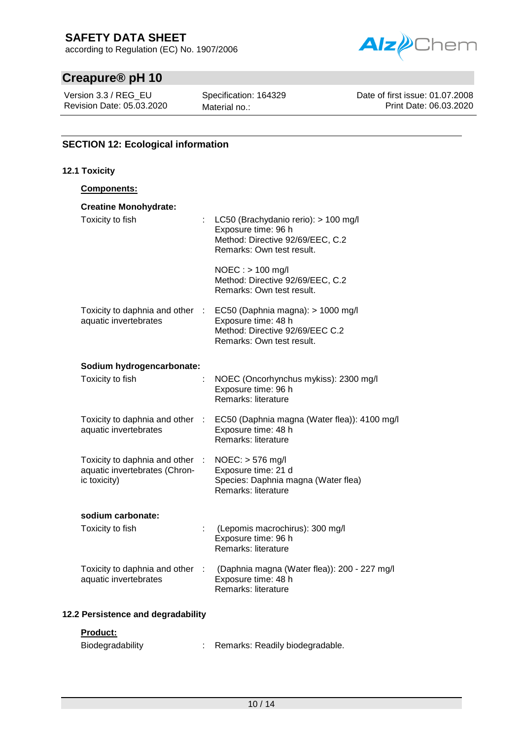according to Regulation (EC) No. 1907/2006



# **Creapure® pH 10**

Version 3.3 / REG\_EU Revision Date: 05.03.2020 Specification: 164329 Material no.:

Date of first issue: 01.07.2008 Print Date: 06.03.2020

## **SECTION 12: Ecological information**

#### **12.1 Toxicity Components: Creatine Monohydrate:** Toxicity to fish : LC50 (Brachydanio rerio): > 100 mg/l Exposure time: 96 h Method: Directive 92/69/EEC, C.2 Remarks: Own test result. NOEC : > 100 mg/l Method: Directive 92/69/EEC, C.2 Remarks: Own test result. Toxicity to daphnia and other aquatic invertebrates : EC50 (Daphnia magna): > 1000 mg/l Exposure time: 48 h Method: Directive 92/69/EEC C.2 Remarks: Own test result. **Sodium hydrogencarbonate:** Toxicity to fish : NOEC (Oncorhynchus mykiss): 2300 mg/l Exposure time: 96 h Remarks: literature Toxicity to daphnia and other aquatic invertebrates : EC50 (Daphnia magna (Water flea)): 4100 mg/l Exposure time: 48 h Remarks: literature Toxicity to daphnia and other aquatic invertebrates (Chronic toxicity) : NOEC: > 576 mg/l Exposure time: 21 d Species: Daphnia magna (Water flea) Remarks: literature **sodium carbonate:** Toxicity to fish : (Lepomis macrochirus): 300 mg/l Exposure time: 96 h Remarks: literature Toxicity to daphnia and other aquatic invertebrates : (Daphnia magna (Water flea)): 200 - 227 mg/l Exposure time: 48 h Remarks: literature **12.2 Persistence and degradability**

### **Product:**

| Biodegradability |  | Remarks: Readily biodegradable. |
|------------------|--|---------------------------------|
|------------------|--|---------------------------------|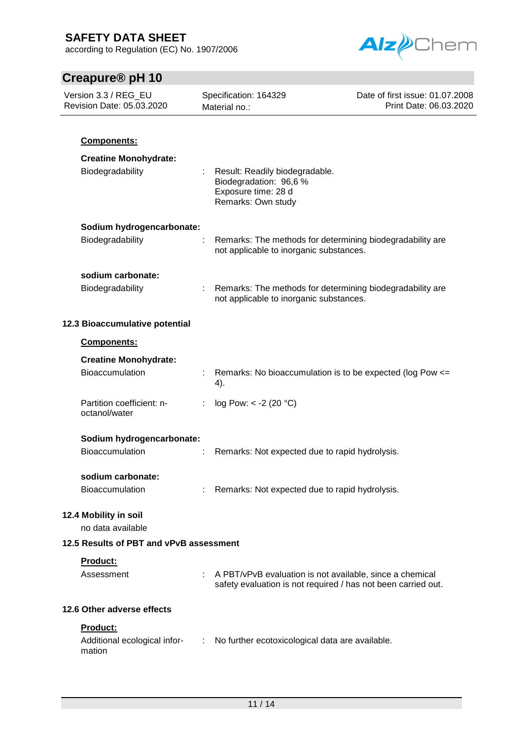according to Regulation (EC) No. 1907/2006



| Version 3.3 / REG_EU<br>Revision Date: 05.03.2020  | Specification: 164329<br>Material no.: |                                                                                                                           | Date of first issue: 01.07.2008<br>Print Date: 06.03.2020 |  |
|----------------------------------------------------|----------------------------------------|---------------------------------------------------------------------------------------------------------------------------|-----------------------------------------------------------|--|
| Components:                                        |                                        |                                                                                                                           |                                                           |  |
| <b>Creatine Monohydrate:</b><br>Biodegradability   |                                        | Result: Readily biodegradable.<br>Biodegradation: 96,6 %<br>Exposure time: 28 d<br>Remarks: Own study                     |                                                           |  |
| Sodium hydrogencarbonate:                          |                                        |                                                                                                                           |                                                           |  |
| Biodegradability                                   |                                        | Remarks: The methods for determining biodegradability are<br>not applicable to inorganic substances.                      |                                                           |  |
| sodium carbonate:<br>Biodegradability              |                                        | Remarks: The methods for determining biodegradability are<br>not applicable to inorganic substances.                      |                                                           |  |
| 12.3 Bioaccumulative potential                     |                                        |                                                                                                                           |                                                           |  |
| Components:                                        |                                        |                                                                                                                           |                                                           |  |
| <b>Creatine Monohydrate:</b><br>Bioaccumulation    | 4).                                    | Remarks: No bioaccumulation is to be expected (log Pow <=                                                                 |                                                           |  |
| Partition coefficient: n-<br>octanol/water         |                                        | log Pow: $< -2$ (20 °C)                                                                                                   |                                                           |  |
| Sodium hydrogencarbonate:<br>Bioaccumulation       |                                        | Remarks: Not expected due to rapid hydrolysis.                                                                            |                                                           |  |
| sodium carbonate:<br><b>Bioaccumulation</b>        |                                        | Remarks: Not expected due to rapid hydrolysis.                                                                            |                                                           |  |
| 12.4 Mobility in soil<br>no data available         |                                        |                                                                                                                           |                                                           |  |
| 12.5 Results of PBT and vPvB assessment            |                                        |                                                                                                                           |                                                           |  |
| Product:<br>Assessment                             |                                        | A PBT/vPvB evaluation is not available, since a chemical<br>safety evaluation is not required / has not been carried out. |                                                           |  |
| 12.6 Other adverse effects                         |                                        |                                                                                                                           |                                                           |  |
| Product:<br>Additional ecological infor-<br>mation |                                        | No further ecotoxicological data are available.                                                                           |                                                           |  |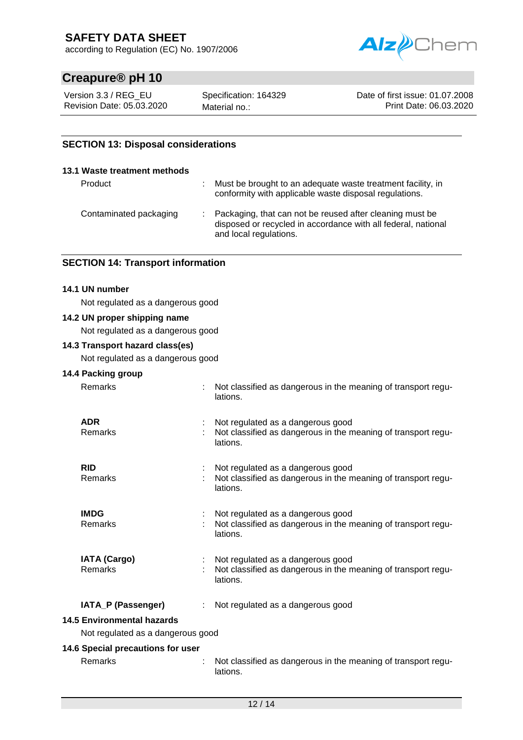according to Regulation (EC) No. 1907/2006



# **Creapure® pH 10**

Version 3.3 / REG\_EU Revision Date: 05.03.2020 Specification: 164329 Material no.:

Date of first issue: 01.07.2008 Print Date: 06.03.2020

## **SECTION 13: Disposal considerations**

| 13.1 Waste treatment methods |                                                                                                                                                       |
|------------------------------|-------------------------------------------------------------------------------------------------------------------------------------------------------|
| Product                      | Must be brought to an adequate waste treatment facility, in<br>conformity with applicable waste disposal regulations.                                 |
| Contaminated packaging       | : Packaging, that can not be reused after cleaning must be<br>disposed or recycled in accordance with all federal, national<br>and local regulations. |

## **SECTION 14: Transport information**

#### **14.1 UN number**

Not regulated as a dangerous good

#### **14.2 UN proper shipping name**

Not regulated as a dangerous good

#### **14.3 Transport hazard class(es)**

Not regulated as a dangerous good

## **14.4 Packing group**

Remarks : Not classified as dangerous in the meaning of transport regu-

|                | lations.                                                                                                       |
|----------------|----------------------------------------------------------------------------------------------------------------|
| ADR<br>Remarks | Not regulated as a dangerous good<br>Not classified as dangerous in the meaning of transport regu-<br>lations. |
| RID<br>Remarks | Not regulated as a dangerous good<br>Not classified as dangerous in the meaning of transport regu-<br>lations. |

**IMDG** : Not regulated as a dangerous good Remarks : Not classified as dangerous in the meaning of transport regulations.

| <b>IATA (Cargo)</b><br>Remarks | : Not regulated as a dangerous good<br>Not classified as dangerous in the meaning of transport regu-<br>lations. |
|--------------------------------|------------------------------------------------------------------------------------------------------------------|
|--------------------------------|------------------------------------------------------------------------------------------------------------------|

### **IATA\_P (Passenger)** : Not regulated as a dangerous good

## **14.5 Environmental hazards**

Not regulated as a dangerous good

#### **14.6 Special precautions for user**

Remarks : Not classified as dangerous in the meaning of transport regulations.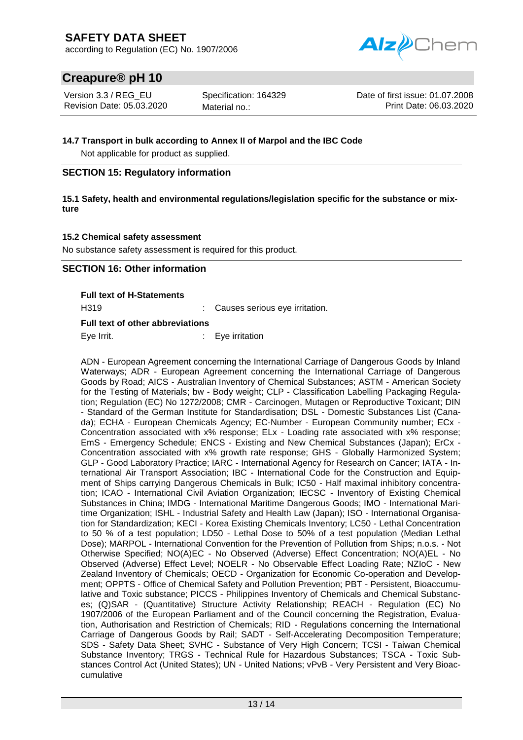according to Regulation (EC) No. 1907/2006



# **Creapure® pH 10**

Version 3.3 / REG\_EU Revision Date: 05.03.2020 Specification: 164329 Material no.:

Date of first issue: 01.07.2008 Print Date: 06.03.2020

#### **14.7 Transport in bulk according to Annex II of Marpol and the IBC Code**

Not applicable for product as supplied.

## **SECTION 15: Regulatory information**

**15.1 Safety, health and environmental regulations/legislation specific for the substance or mixture**

### **15.2 Chemical safety assessment**

No substance safety assessment is required for this product.

## **SECTION 16: Other information**

**Full text of H-Statements**

H319 : Causes serious eye irritation.

#### **Full text of other abbreviations**

Eye Irrit. **Exemple 18 Figure 11** Eye irritation

ADN - European Agreement concerning the International Carriage of Dangerous Goods by Inland Waterways; ADR - European Agreement concerning the International Carriage of Dangerous Goods by Road; AICS - Australian Inventory of Chemical Substances; ASTM - American Society for the Testing of Materials; bw - Body weight; CLP - Classification Labelling Packaging Regulation; Regulation (EC) No 1272/2008; CMR - Carcinogen, Mutagen or Reproductive Toxicant; DIN - Standard of the German Institute for Standardisation; DSL - Domestic Substances List (Canada); ECHA - European Chemicals Agency; EC-Number - European Community number; ECx - Concentration associated with x% response; ELx - Loading rate associated with x% response; EmS - Emergency Schedule; ENCS - Existing and New Chemical Substances (Japan); ErCx - Concentration associated with x% growth rate response; GHS - Globally Harmonized System; GLP - Good Laboratory Practice; IARC - International Agency for Research on Cancer; IATA - International Air Transport Association; IBC - International Code for the Construction and Equipment of Ships carrying Dangerous Chemicals in Bulk; IC50 - Half maximal inhibitory concentration; ICAO - International Civil Aviation Organization; IECSC - Inventory of Existing Chemical Substances in China; IMDG - International Maritime Dangerous Goods; IMO - International Maritime Organization; ISHL - Industrial Safety and Health Law (Japan); ISO - International Organisation for Standardization; KECI - Korea Existing Chemicals Inventory; LC50 - Lethal Concentration to 50 % of a test population; LD50 - Lethal Dose to 50% of a test population (Median Lethal Dose); MARPOL - International Convention for the Prevention of Pollution from Ships; n.o.s. - Not Otherwise Specified; NO(A)EC - No Observed (Adverse) Effect Concentration; NO(A)EL - No Observed (Adverse) Effect Level; NOELR - No Observable Effect Loading Rate; NZIoC - New Zealand Inventory of Chemicals; OECD - Organization for Economic Co-operation and Development; OPPTS - Office of Chemical Safety and Pollution Prevention; PBT - Persistent, Bioaccumulative and Toxic substance; PICCS - Philippines Inventory of Chemicals and Chemical Substances; (Q)SAR - (Quantitative) Structure Activity Relationship; REACH - Regulation (EC) No 1907/2006 of the European Parliament and of the Council concerning the Registration, Evaluation, Authorisation and Restriction of Chemicals; RID - Regulations concerning the International Carriage of Dangerous Goods by Rail; SADT - Self-Accelerating Decomposition Temperature; SDS - Safety Data Sheet; SVHC - Substance of Very High Concern; TCSI - Taiwan Chemical Substance Inventory; TRGS - Technical Rule for Hazardous Substances; TSCA - Toxic Substances Control Act (United States); UN - United Nations; vPvB - Very Persistent and Very Bioaccumulative